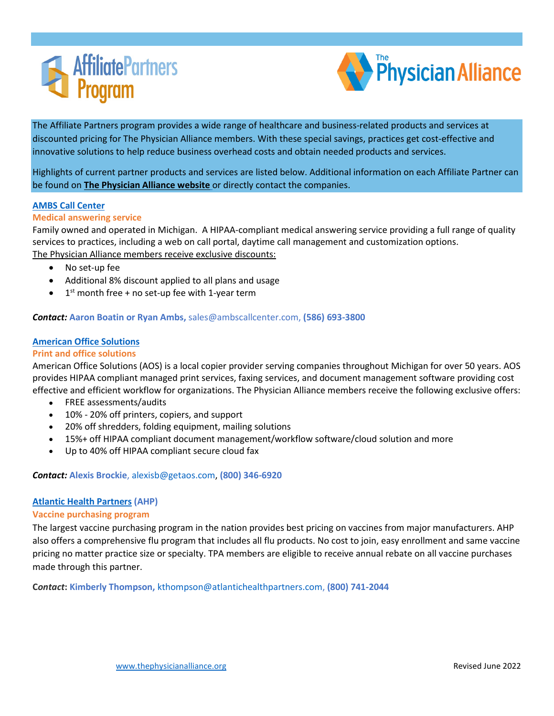



Highlights of current partner products and services are listed below. Additional information on each Affiliate Partner can be found on **[The Physician Alliance website](https://thephysicianalliance.org/index.php/affiliate-partners)** or directly contact the companies.

# **[AMBS Call Center](https://thephysicianalliance.org/index.php/affiliate-partners/answering-services)**

## **Medical answering service**

Family owned and operated in Michigan. A HIPAA-compliant medical answering service providing a full range of quality services to practices, including a web on call portal, daytime call management and customization options. [The Physician Alliance](https://thephysicianalliance.org/index.php/affiliate-partners/answering-services) members receive exclusive discounts:

- No set-up fee
- Additional 8% discount applied to all plans and usage
- $1<sup>st</sup>$  month free + no set-up fee with 1-year term

## *Contact:* **Aaron Boatin or Ryan Ambs,** sales@ambscallcenter.com, **(586) 693-3800**

## **[American Office Solutions](https://thephysicianalliance.org/affiliate-partners/print-and-office-solutions/)**

### **Print and office solutions**

American Office Solutions (AOS) is a local copier provider serving companies throughout Michigan for over 50 years. AOS provides HIPAA compliant managed print services, faxing services, and document management software providing cost effective and efficient workflow for organizations. The Physician Alliance members receive the following exclusive offers:

- FREE assessments/audits
- 10% 20% off printers, copiers, and support
- 20% off shredders, folding equipment, mailing solutions
- 15%+ off HIPAA compliant document management/workflow software/cloud solution and more
- Up to 40% off HIPAA compliant secure cloud fax

## *Contact:* **Alexis Brockie**[, alexisb@getaos.com,](mailto:alexisb@getaos.com) **(800) 346-6920**

## **[Atlantic Health Partners](https://thephysicianalliance.org/index.php/vaccine-purchasing-program) (AHP)**

#### **Vaccine purchasing program**

The largest vaccine purchasing program in the nation provides best pricing on vaccines from major manufacturers. AHP also offers a comprehensive flu program that includes all flu products. No cost to join, easy enrollment and same vaccine pricing no matter practice size or specialty. TPA members are eligible to receive annual rebate on all vaccine purchases made through this partner.

**C***ontact***: Kimberly Thompson,** [kthompson@atlantichealthpartners.com,](mailto:kthompson@atlantichealthpartners.com) **(800) 741-2044**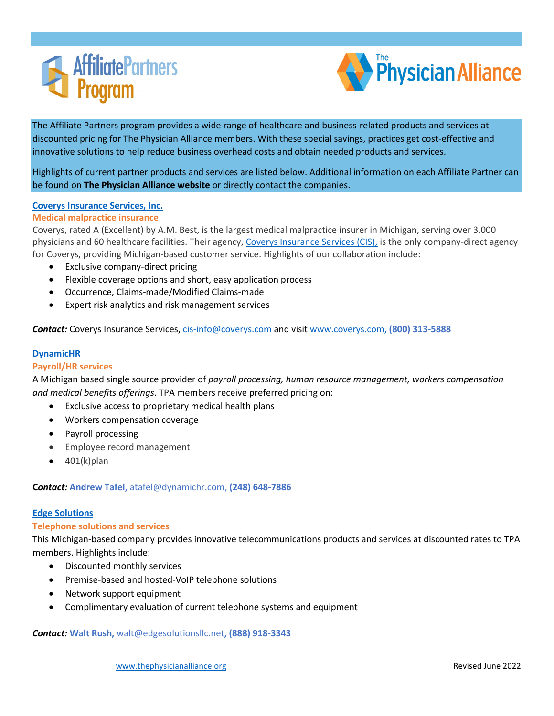



Highlights of current partner products and services are listed below. Additional information on each Affiliate Partner can be found on **[The Physician Alliance website](https://thephysicianalliance.org/index.php/affiliate-partners)** or directly contact the companies.

## **[Coverys Insurance Services, Inc.](https://thephysicianalliance.org/index.php/medical-malpractice-insurance)**

## **Medical malpractice insurance**

Coverys, rated A (Excellent) by A.M. Best, is the largest medical malpractice insurer in Michigan, serving over 3,000 physicians and 60 healthcare facilities. Their agency, [Coverys Insurance Services \(CIS\),](http://www.coverysis.com/) is the only company-direct agency for Coverys, providing Michigan-based customer service. Highlights of our collaboration include:

- Exclusive company-direct pricing
- Flexible coverage options and short, easy application process
- Occurrence, Claims-made/Modified Claims-made
- Expert risk analytics and risk management services

*Contact:* Coverys Insurance Services, [cis-info@coverys.com](mailto:cis-info@coverys.com) and visit [www.coverys.com,](http://www.coverys.com,/) **(800) 313-5888**

# **[DynamicHR](https://thephysicianalliance.org/index.php/payroll-hr-services)**

## **Payroll/HR services**

A Michigan based single source provider of *payroll processing, human resource management, workers compensation and medical benefits offerings*. TPA members receive preferred pricing on:

- Exclusive access to proprietary medical health plans
- Workers compensation coverage
- Payroll processing
- Employee record management
- 401(k)plan

## **C***ontact:* **Andrew Tafel,** [atafel@dynamichr.com,](mailto:atafel@dynamichr.com) **(248) 648-7886**

### **[Edge Solutions](https://thephysicianalliance.org/index.php/telephone-solutions-services)**

## **Telephone solutions and services**

This Michigan-based company provides innovative telecommunications products and services at discounted rates to TPA members. Highlights include:

- Discounted monthly services
- Premise-based and hosted-VoIP telephone solutions
- Network support equipment
- Complimentary evaluation of current telephone systems and equipment

## *Contact:* **Walt Rush,** [walt@edgesolutionsllc.net](mailto:walt@edgesolutionsllc.net)**, (888) 918-3343**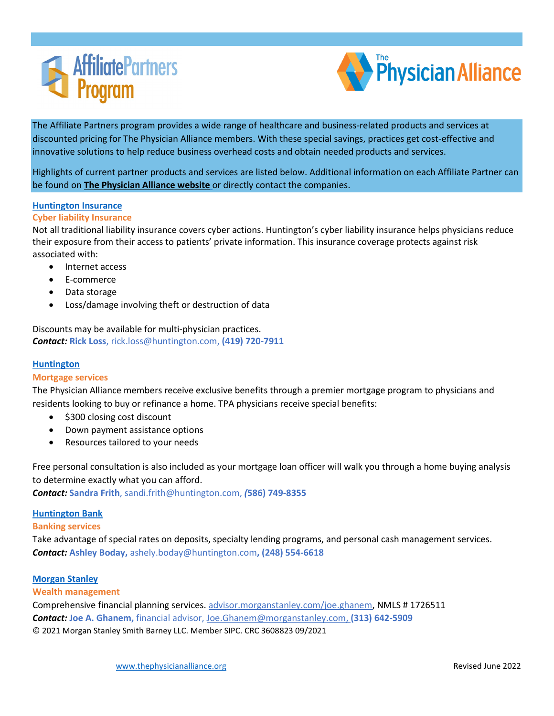



Highlights of current partner products and services are listed below. Additional information on each Affiliate Partner can be found on **[The Physician Alliance website](https://thephysicianalliance.org/index.php/affiliate-partners)** or directly contact the companies.

### **[Huntington Insurance](https://thephysicianalliance.org/index.php/cyber-liability-insurance)**

### **Cyber liability Insurance**

Not all traditional liability insurance covers cyber actions. Huntington's cyber liability insurance helps physicians reduce their exposure from their access to patients' private information. This insurance coverage protects against risk associated with:

- Internet access
- E-commerce
- Data storage
- Loss/damage involving theft or destruction of data

Discounts may be available for multi-physician practices. *Contact:* **Rick Loss**, rick.loss@huntington.com, **(419) 720-7911** 

## **[Huntington](https://thephysicianalliance.org/index.php/mortgage-program)**

## **Mortgage services**

The Physician Alliance members receive exclusive benefits through a premier mortgage program to physicians and residents looking to buy or refinance a home. TPA physicians receive special benefits:

- \$300 closing cost discount
- Down payment assistance options
- Resources tailored to your needs

Free personal consultation is also included as your mortgage loan officer will walk you through a home buying analysis to determine exactly what you can afford.

*Contact:* **Sandra Frith**, sandi.frith@huntington.com, *(***586) 749-8355** 

## **[Huntington Bank](https://thephysicianalliance.org/index.php/mortgage-program)**

#### **Banking services**

Take advantage of special rates on deposits, specialty lending programs, and personal cash management services. *Contact:* **Ashley Boday,** [ashely.boday@huntington.com](mailto:ashely.boday@huntington.com)**, (248) 554-6618**

## **[Morgan Stanley](https://thephysicianalliance.org/affiliate-partners/wealth-management/)**

#### **Wealth management**

Comprehensive financial planning services. [advisor.morganstanley.com/joe.ghanem,](https://advisor.morganstanley.com/joe.ghanem) NMLS # 1726511 *Contact:* **Joe A. Ghanem,** financial advisor, [Joe.Ghanem@morganstanley.com,](mailto:Joe.Ghanem@morganstanley.com) **(313) 642-5909**  © 2021 Morgan Stanley Smith Barney LLC. Member SIPC. CRC 3608823 09/2021